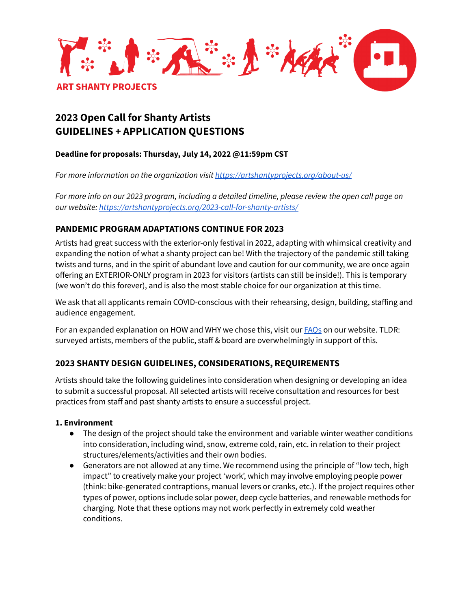

# **2023 Open Call for Shanty Artists GUIDELINES + APPLICATION QUESTIONS**

## **Deadline for proposals: Thursday, July 14, 2022 @11:59pm CST**

*For more information on the organization visit <https://artshantyprojects.org/about-us/>*

For more info on our 2023 program, including a detailed timeline, please review the open call page on *our website: <https://artshantyprojects.org/2023-call-for-shanty-artists/>*

## **PANDEMIC PROGRAM ADAPTATIONS CONTINUE FOR 2023**

Artists had great success with the exterior-only festival in 2022, adapting with whimsical creativity and expanding the notion of what a shanty project can be! With the trajectory of the pandemic still taking twists and turns, and in the spirit of abundant love and caution for our community, we are once again offering an EXTERIOR-ONLY program in 2023 for visitors (artists can still be inside!). This is temporary (we won't do this forever), and is also the most stable choice for our organization at this time.

We ask that all applicants remain COVID-conscious with their rehearsing, design, building, staffing and audience engagement.

For an expanded explanation on HOW and WHY we chose this, visit our **FAOs** on our website. TLDR: surveyed artists, members of the public, staff & board are overwhelmingly in support of this.

## **2023 SHANTY DESIGN GUIDELINES, CONSIDERATIONS, REQUIREMENTS**

Artists should take the following guidelines into consideration when designing or developing an idea to submit a successful proposal. All selected artists will receive consultation and resources for best practices from staff and past shanty artists to ensure a successful project.

### **1. Environment**

- The design of the project should take the environment and variable winter weather conditions into consideration, including wind, snow, extreme cold, rain, etc. in relation to their project structures/elements/activities and their own bodies.
- Generators are not allowed at any time. We recommend using the principle of "low tech, high impact" to creatively make your project 'work', which may involve employing people power (think: bike-generated contraptions, manual levers or cranks, etc.). If the project requires other types of power, options include solar power, deep cycle batteries, and renewable methods for charging. Note that these options may not work perfectly in extremely cold weather conditions.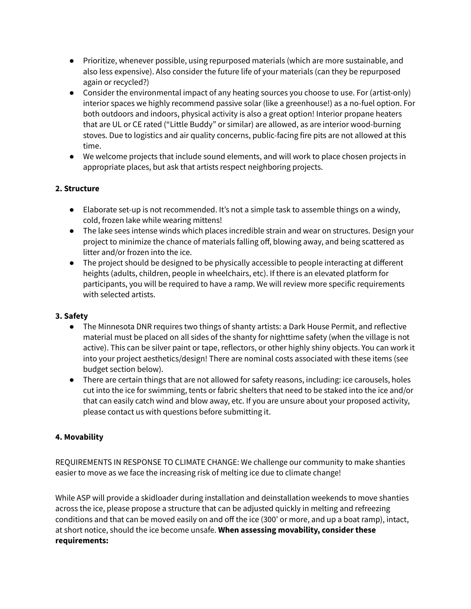- Prioritize, whenever possible, using repurposed materials (which are more sustainable, and also less expensive). Also consider the future life of your materials (can they be repurposed again or recycled?)
- Consider the environmental impact of any heating sources you choose to use. For (artist-only) interior spaces we highly recommend passive solar (like a greenhouse!) as a no-fuel option. For both outdoors and indoors, physical activity is also a great option! Interior propane heaters that are UL or CE rated ("Little Buddy" or similar) are allowed, as are interior wood-burning stoves. Due to logistics and air quality concerns, public-facing fire pits are not allowed at this time.
- We welcome projects that include sound elements, and will work to place chosen projects in appropriate places, but ask that artists respect neighboring projects.

## **2. Structure**

- Elaborate set-up is not recommended. It's not a simple task to assemble things on a windy, cold, frozen lake while wearing mittens!
- The lake sees intense winds which places incredible strain and wear on structures. Design your project to minimize the chance of materials falling off, blowing away, and being scattered as litter and/or frozen into the ice.
- The project should be designed to be physically accessible to people interacting at different heights (adults, children, people in wheelchairs, etc). If there is an elevated platform for participants, you will be required to have a ramp. We will review more specific requirements with selected artists.

## **3. Safety**

- The Minnesota DNR requires two things of shanty artists: a Dark House Permit, and reflective material must be placed on all sides of the shanty for nighttime safety (when the village is not active). This can be silver paint or tape, reflectors, or other highly shiny objects. You can work it into your project aesthetics/design! There are nominal costs associated with these items (see budget section below).
- There are certain things that are not allowed for safety reasons, including: ice carousels, holes cut into the ice for swimming, tents or fabric shelters that need to be staked into the ice and/or that can easily catch wind and blow away, etc. If you are unsure about your proposed activity, please contact us with questions before submitting it.

## **4. Movability**

REQUIREMENTS IN RESPONSE TO CLIMATE CHANGE: We challenge our community to make shanties easier to move as we face the increasing risk of melting ice due to climate change!

While ASP will provide a skidloader during installation and deinstallation weekends to move shanties across the ice, please propose a structure that can be adjusted quickly in melting and refreezing conditions and that can be moved easily on and off the ice (300' or more, and up a boat ramp), intact, at short notice, should the ice become unsafe. **When assessing movability, consider these requirements:**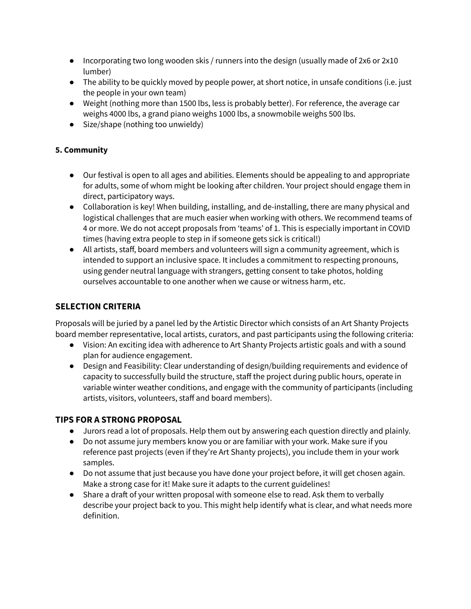- $\bullet$  Incorporating two long wooden skis / runners into the design (usually made of 2x6 or 2x10 lumber)
- The ability to be quickly moved by people power, at short notice, in unsafe conditions (i.e. just the people in your own team)
- Weight (nothing more than 1500 lbs, less is probably better). For reference, the average car weighs 4000 lbs, a grand piano weighs 1000 lbs, a snowmobile weighs 500 lbs.
- Size/shape (nothing too unwieldy)

## **5. Community**

- Our festival is open to all ages and abilities. Elements should be appealing to and appropriate for adults, some of whom might be looking after children. Your project should engage them in direct, participatory ways.
- Collaboration is key! When building, installing, and de-installing, there are many physical and logistical challenges that are much easier when working with others. We recommend teams of 4 or more. We do not accept proposals from 'teams' of 1. This is especially important in COVID times (having extra people to step in if someone gets sick is critical!)
- All artists, staff, board members and volunteers will sign a community agreement, which is intended to support an inclusive space. It includes a commitment to respecting pronouns, using gender neutral language with strangers, getting consent to take photos, holding ourselves accountable to one another when we cause or witness harm, etc.

## **SELECTION CRITERIA**

Proposals will be juried by a panel led by the Artistic Director which consists of an Art Shanty Projects board member representative, local artists, curators, and past participants using the following criteria:

- Vision: An exciting idea with adherence to Art Shanty Projects artistic goals and with a sound plan for audience engagement.
- Design and Feasibility: Clear understanding of design/building requirements and evidence of capacity to successfully build the structure, staff the project during public hours, operate in variable winter weather conditions, and engage with the community of participants (including artists, visitors, volunteers, staff and board members).

## **TIPS FOR A STRONG PROPOSAL**

- Jurors read a lot of proposals. Help them out by answering each question directly and plainly.
- Do not assume jury members know you or are familiar with your work. Make sure if you reference past projects (even if they're Art Shanty projects), you include them in your work samples.
- Do not assume that just because you have done your project before, it will get chosen again. Make a strong case for it! Make sure it adapts to the current guidelines!
- Share a draft of your written proposal with someone else to read. Ask them to verbally describe your project back to you. This might help identify what is clear, and what needs more definition.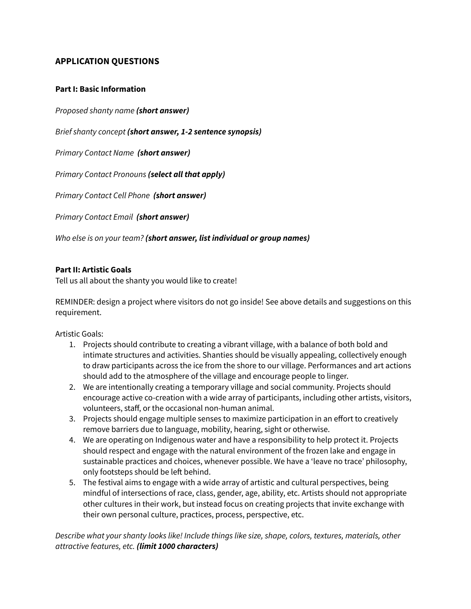## **APPLICATION QUESTIONS**

#### **Part I: Basic Information**

*Proposed shanty name (short answer)*

*Brief shanty concept (short answer, 1-2 sentence synopsis)*

*Primary Contact Name (short answer)*

*Primary Contact Pronouns (select all that apply)*

*Primary Contact Cell Phone (short answer)*

*Primary Contact Email (short answer)*

*Who else is on your team? (short answer, list individual or group names)*

#### **Part II: Artistic Goals**

Tell us all about the shanty you would like to create!

REMINDER: design a project where visitors do not go inside! See above details and suggestions on this requirement.

Artistic Goals:

- 1. Projects should contribute to creating a vibrant village, with a balance of both bold and intimate structures and activities. Shanties should be visually appealing, collectively enough to draw participants across the ice from the shore to our village. Performances and art actions should add to the atmosphere of the village and encourage people to linger.
- 2. We are intentionally creating a temporary village and social community. Projects should encourage active co-creation with a wide array of participants, including other artists, visitors, volunteers, staff, or the occasional non-human animal.
- 3. Projects should engage multiple senses to maximize participation in an effort to creatively remove barriers due to language, mobility, hearing, sight or otherwise.
- 4. We are operating on Indigenous water and have a responsibility to help protect it. Projects should respect and engage with the natural environment of the frozen lake and engage in sustainable practices and choices, whenever possible. We have a 'leave no trace' philosophy, only footsteps should be left behind.
- 5. The festival aims to engage with a wide array of artistic and cultural perspectives, being mindful of intersections of race, class, gender, age, ability, etc. Artists should not appropriate other cultures in their work, but instead focus on creating projects that invite exchange with their own personal culture, practices, process, perspective, etc.

*Describe what your shanty looks like! Include things like size, shape, colors, textures, materials, other attractive features, etc. (limit 1000 characters)*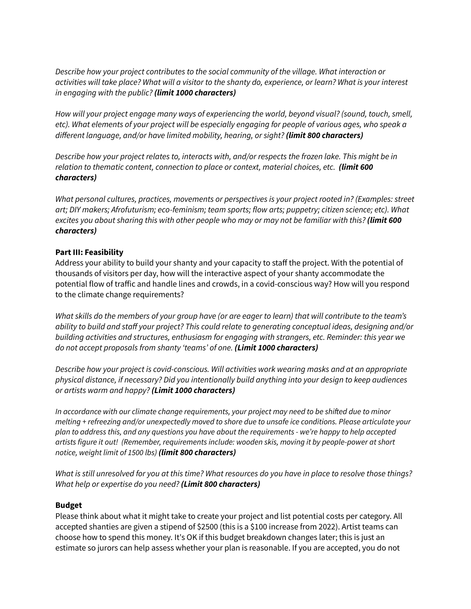*Describe how your project contributes to the social community of the village. What interaction or* activities will take place? What will a visitor to the shanty do, experience, or learn? What is your interest *in engaging with the public? (limit 1000 characters)*

*How will your project engage many ways of experiencing the world, beyond visual? (sound, touch, smell,* etc). What elements of your project will be especially engaging for people of various ages, who speak a *different language, and/or have limited mobility, hearing, or sight? (limit 800 characters)*

*Describe how your project relates to, interacts with, and/or respects the frozen lake. This might be in relation to thematic content, connection to place or context, material choices, etc. (limit 600 characters)*

*What personal cultures, practices, movements or perspectives is your project rooted in? (Examples: street art; DIY makers; Afrofuturism; eco-feminism; team sports; flow arts; puppetry; citizen science; etc). What* excites you about sharing this with other people who may or may not be familiar with this? (limit 600 *characters)*

### **Part III: Feasibility**

Address your ability to build your shanty and your capacity to staff the project. With the potential of thousands of visitors per day, how will the interactive aspect of your shanty accommodate the potential flow of traffic and handle lines and crowds, in a covid-conscious way? How will you respond to the climate change requirements?

What skills do the members of your group have (or are eager to learn) that will contribute to the team's *ability to build and staff your project? This could relate to generating conceptual ideas, designing and/or building activities and structures, enthusiasm for engaging with strangers, etc. Reminder: this year we do not accept proposals from shanty 'teams' of one. (Limit 1000 characters)*

*Describe how your project is covid-conscious. Will activities work wearing masks and at an appropriate physical distance, if necessary? Did you intentionally build anything into your design to keep audiences or artists warm and happy? (Limit 1000 characters)*

*In accordance with our climate change requirements, your project may need to be shifted due to minor melting + refreezing and/or unexpectedly moved to shore due to unsafe ice conditions. Please articulate your* plan to address this, and any questions you have about the requirements - we're happy to help accepted *artists figure it out! (Remember, requirements include: wooden skis, moving it by people-power at short notice, weight limit of 1500 lbs) (limit 800 characters)*

What is still unresolved for you at this time? What resources do you have in place to resolve those things? *What help or expertise do you need? (Limit 800 characters)*

#### **Budget**

Please think about what it might take to create your project and list potential costs per category. All accepted shanties are given a stipend of \$2500 (this is a \$100 increase from 2022). Artist teams can choose how to spend this money. It's OK if this budget breakdown changes later; this is just an estimate so jurors can help assess whether your plan is reasonable. If you are accepted, you do not